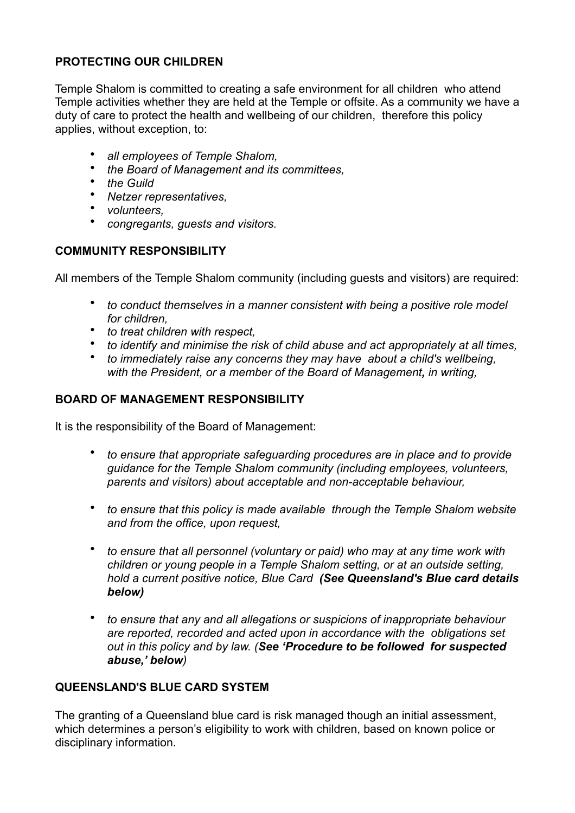# **PROTECTING OUR CHILDREN**

Temple Shalom is committed to creating a safe environment for all children who attend Temple activities whether they are held at the Temple or offsite. As a community we have a duty of care to protect the health and wellbeing of our children, therefore this policy applies, without exception, to:

- *all employees of Temple Shalom,*
- *the Board of Management and its committees,*
- *the Guild*
- *Netzer representatives,*
- *volunteers,*
- *congregants, guests and visitors.*

### **COMMUNITY RESPONSIBILITY**

All members of the Temple Shalom community (including guests and visitors) are required:

- *to conduct themselves in a manner consistent with being a positive role model for children,*
- *to treat children with respect,*
- *to identify and minimise the risk of child abuse and act appropriately at all times,*
- *to immediately raise any concerns they may have about a child's wellbeing, with the President, or a member of the Board of Management, in writing,*

#### **BOARD OF MANAGEMENT RESPONSIBILITY**

It is the responsibility of the Board of Management:

- *to ensure that appropriate safeguarding procedures are in place and to provide guidance for the Temple Shalom community (including employees, volunteers, parents and visitors) about acceptable and non-acceptable behaviour,*
- *to ensure that this policy is made available through the Temple Shalom website and from the office, upon request,*
- *to ensure that all personnel (voluntary or paid) who may at any time work with children or young people in a Temple Shalom setting, or at an outside setting, hold a current positive notice, Blue Card (See Queensland's Blue card details below)*
- *to ensure that any and all allegations or suspicions of inappropriate behaviour are reported, recorded and acted upon in accordance with the obligations set out in this policy and by law. (See 'Procedure to be followed for suspected abuse,' below)*

#### **QUEENSLAND'S BLUE CARD SYSTEM**

The granting of a Queensland blue card is risk managed though an initial assessment, which determines a person's eligibility to work with children, based on known police or disciplinary information.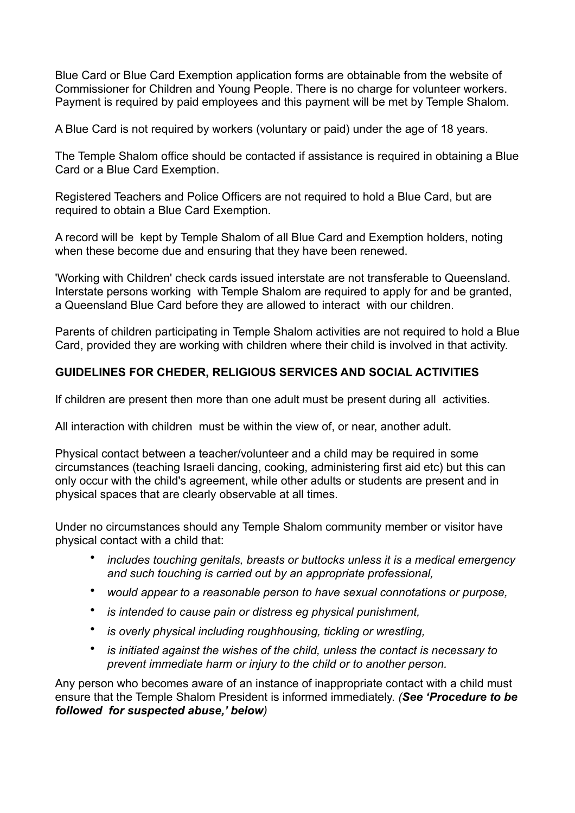Blue Card or Blue Card Exemption application forms are obtainable from the website of Commissioner for Children and Young People. There is no charge for volunteer workers. Payment is required by paid employees and this payment will be met by Temple Shalom.

A Blue Card is not required by workers (voluntary or paid) under the age of 18 years.

The Temple Shalom office should be contacted if assistance is required in obtaining a Blue Card or a Blue Card Exemption.

Registered Teachers and Police Officers are not required to hold a Blue Card, but are required to obtain a Blue Card Exemption.

A record will be kept by Temple Shalom of all Blue Card and Exemption holders, noting when these become due and ensuring that they have been renewed.

'Working with Children' check cards issued interstate are not transferable to Queensland. Interstate persons working with Temple Shalom are required to apply for and be granted, a Queensland Blue Card before they are allowed to interact with our children.

Parents of children participating in Temple Shalom activities are not required to hold a Blue Card, provided they are working with children where their child is involved in that activity.

# **GUIDELINES FOR CHEDER, RELIGIOUS SERVICES AND SOCIAL ACTIVITIES**

If children are present then more than one adult must be present during all activities.

All interaction with children must be within the view of, or near, another adult.

Physical contact between a teacher/volunteer and a child may be required in some circumstances (teaching Israeli dancing, cooking, administering first aid etc) but this can only occur with the child's agreement, while other adults or students are present and in physical spaces that are clearly observable at all times.

Under no circumstances should any Temple Shalom community member or visitor have physical contact with a child that:

- *includes touching genitals, breasts or buttocks unless it is a medical emergency and such touching is carried out by an appropriate professional,*
- *would appear to a reasonable person to have sexual connotations or purpose,*
- *is intended to cause pain or distress eg physical punishment,*
- *is overly physical including roughhousing, tickling or wrestling,*
- *is initiated against the wishes of the child, unless the contact is necessary to prevent immediate harm or injury to the child or to another person.*

Any person who becomes aware of an instance of inappropriate contact with a child must ensure that the Temple Shalom President is informed immediately. *(See 'Procedure to be followed for suspected abuse,' below)*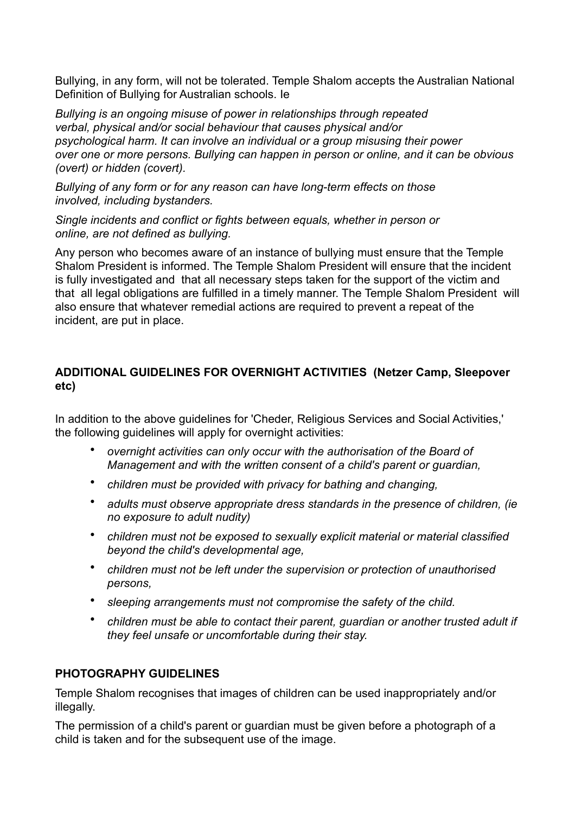Bullying, in any form, will not be tolerated. Temple Shalom accepts the Australian National Definition of Bullying for Australian schools. Ie

*Bullying is an ongoing misuse of power in relationships through repeated verbal, physical and/or social behaviour that causes physical and/or psychological harm. It can involve an individual or a group misusing their power over one or more persons. Bullying can happen in person or online, and it can be obvious (overt) or hidden (covert).* 

*Bullying of any form or for any reason can have long-term effects on those involved, including bystanders.* 

*Single incidents and conflict or fights between equals, whether in person or online, are not defined as bullying.* 

Any person who becomes aware of an instance of bullying must ensure that the Temple Shalom President is informed. The Temple Shalom President will ensure that the incident is fully investigated and that all necessary steps taken for the support of the victim and that all legal obligations are fulfilled in a timely manner. The Temple Shalom President will also ensure that whatever remedial actions are required to prevent a repeat of the incident, are put in place.

# **ADDITIONAL GUIDELINES FOR OVERNIGHT ACTIVITIES (Netzer Camp, Sleepover etc)**

In addition to the above guidelines for 'Cheder, Religious Services and Social Activities,' the following guidelines will apply for overnight activities:

- *overnight activities can only occur with the authorisation of the Board of Management and with the written consent of a child's parent or guardian,*
- *children must be provided with privacy for bathing and changing,*
- *adults must observe appropriate dress standards in the presence of children, (ie no exposure to adult nudity)*
- *children must not be exposed to sexually explicit material or material classified beyond the child's developmental age,*
- *children must not be left under the supervision or protection of unauthorised persons,*
- *sleeping arrangements must not compromise the safety of the child.*
- *children must be able to contact their parent, guardian or another trusted adult if they feel unsafe or uncomfortable during their stay.*

### **PHOTOGRAPHY GUIDELINES**

Temple Shalom recognises that images of children can be used inappropriately and/or illegally.

The permission of a child's parent or guardian must be given before a photograph of a child is taken and for the subsequent use of the image.